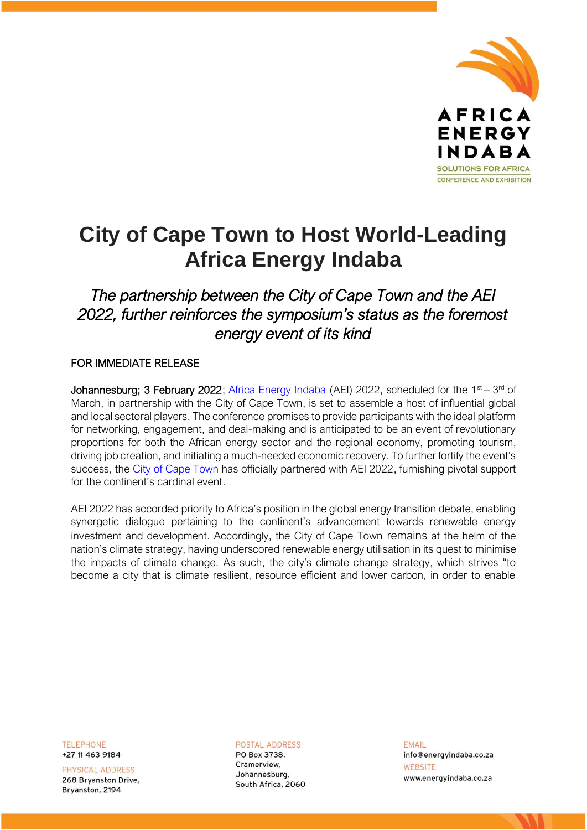

## **City of Cape Town to Host World-Leading Africa Energy Indaba**

*The partnership between the City of Cape Town and the AEI 2022, further reinforces the symposium's status as the foremost energy event of its kind* 

## FOR IMMEDIATE RELEASE

Johannesburg; 3 February 2022; [Africa Energy Indaba](https://africaenergyindaba.com/) (AEI) 2022, scheduled for the 1<sup>st</sup> – 3<sup>rd</sup> of March, in partnership with the City of Cape Town, is set to assemble a host of influential global and local sectoral players. The conference promises to provide participants with the ideal platform for networking, engagement, and deal-making and is anticipated to be an event of revolutionary proportions for both the African energy sector and the regional economy, promoting tourism, driving job creation, and initiating a much-needed economic recovery. To further fortify the event's success, the [City of Cape Town](https://www.capetown.gov.za/) has officially partnered with AEI 2022, furnishing pivotal support for the continent's cardinal event.

AEI 2022 has accorded priority to Africa's position in the global energy transition debate, enabling synergetic dialogue pertaining to the continent's advancement towards renewable energy investment and development. Accordingly, the City of Cape Town remains at the helm of the nation's climate strategy, having underscored renewable energy utilisation in its quest to minimise the impacts of climate change. As such, the city's climate change strategy, which strives "to become a city that is climate resilient, resource efficient and lower carbon, in order to enable

**TELEPHONE** +27 11 463 9184

PHYSICAL ADDRESS 268 Bryanston Drive, Brvanston, 2194

**POSTAL ADDRESS** PO Box 3738, Cramerview. Johannesburg, South Africa, 2060 **FMAIL** info@energyindaba.co.za WEBSITE www.energyindaba.co.za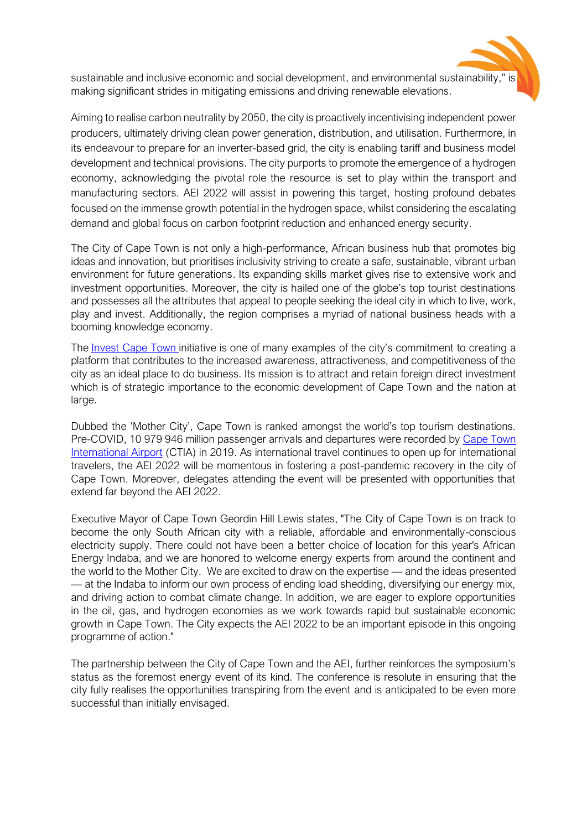sustainable and inclusive economic and social development, and environmental sustainability," is making significant strides in mitigating emissions and driving renewable elevations.

Aiming to realise carbon neutrality by 2050, the city is proactively incentivising independent power producers, ultimately driving clean power generation, distribution, and utilisation. Furthermore, in its endeavour to prepare for an inverter-based grid, the city is enabling tariff and business model development and technical provisions. The city purports to promote the emergence of a hydrogen economy, acknowledging the pivotal role the resource is set to play within the transport and manufacturing sectors. AEI 2022 will assist in powering this target, hosting profound debates focused on the immense growth potential in the hydrogen space, whilst considering the escalating demand and global focus on carbon footprint reduction and enhanced energy security.

The City of Cape Town is not only a high-performance, African business hub that promotes big ideas and innovation, but prioritises inclusivity striving to create a safe, sustainable, vibrant urban environment for future generations. Its expanding skills market gives rise to extensive work and investment opportunities. Moreover, the city is hailed one of the globe's top tourist destinations and possesses all the attributes that appeal to people seeking the ideal city in which to live, work, play and invest. Additionally, the region comprises a myriad of national business heads with a booming knowledge economy.

The [Invest Cape Town](https://www.investcapetown.com/) initiative is one of many examples of the city's commitment to creating a platform that contributes to the increased awareness, attractiveness, and competitiveness of the city as an ideal place to do business. Its mission is to attract and retain foreign direct investment which is of strategic importance to the economic development of Cape Town and the nation at large.

Dubbed the 'Mother City', Cape Town is ranked amongst the world's top tourism destinations. Pre-COVID, 10 979 946 million passenger arrivals and departures were recorded by [Cape Town](https://www.airports.co.za/airports/cape-town-international-airport)  [International Airport](https://www.airports.co.za/airports/cape-town-international-airport) (CTIA) in 2019. As international travel continues to open up for international travelers, the AEI 2022 will be momentous in fostering a post-pandemic recovery in the city of Cape Town. Moreover, delegates attending the event will be presented with opportunities that extend far beyond the AEI 2022.

Executive Mayor of Cape Town Geordin Hill Lewis states, "The City of Cape Town is on track to become the only South African city with a reliable, affordable and environmentally-conscious electricity supply. There could not have been a better choice of location for this year's African Energy Indaba, and we are honored to welcome energy experts from around the continent and the world to the Mother City. We are excited to draw on the expertise — and the ideas presented — at the Indaba to inform our own process of ending load shedding, diversifying our energy mix, and driving action to combat climate change. In addition, we are eager to explore opportunities in the oil, gas, and hydrogen economies as we work towards rapid but sustainable economic growth in Cape Town. The City expects the AEI 2022 to be an important episode in this ongoing programme of action."

The partnership between the City of Cape Town and the AEI, further reinforces the symposium's status as the foremost energy event of its kind. The conference is resolute in ensuring that the city fully realises the opportunities transpiring from the event and is anticipated to be even more successful than initially envisaged.